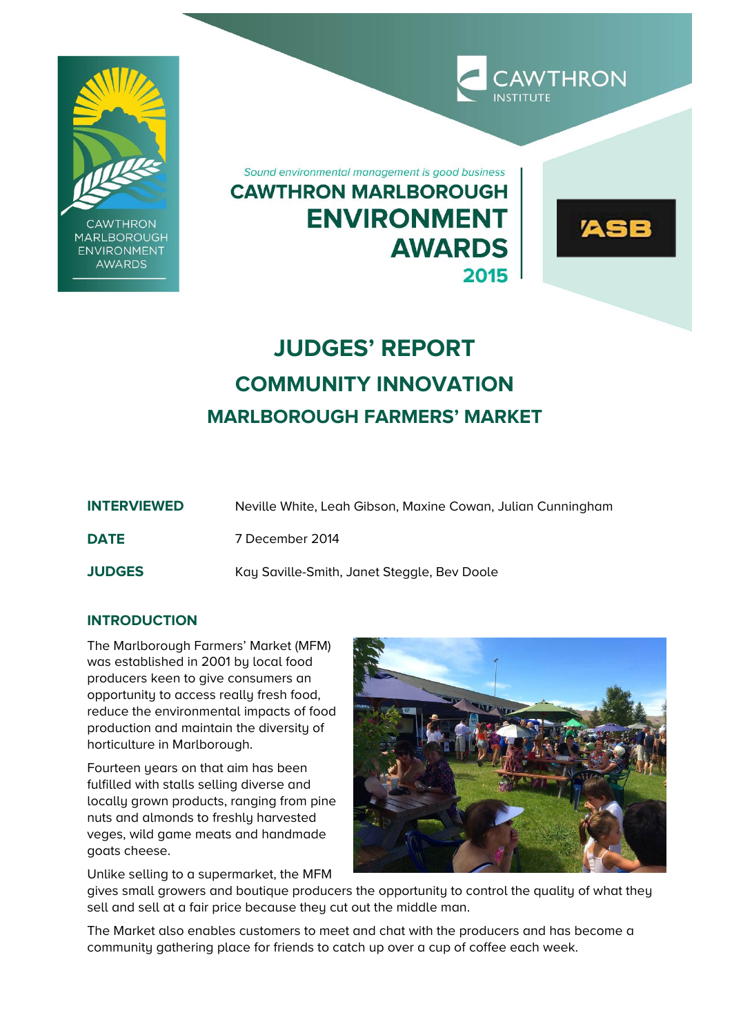

**CAWTHRON MARLBOROUGH ENVIRONMENT AWARDS** 

Sound environmental management is good business **CAWTHRON MARLBOROUGH ENVIRONMENT AWARDS** 2015

# **JUDGES' REPORT COMMUNITY INNOVATION MARLBOROUGH FARMERS' MARKET**

| <b>INTERVIEWED</b> | Neville White, Leah Gibson, Maxine Cowan, Julian Cunningham |
|--------------------|-------------------------------------------------------------|
| <b>DATE</b>        | 7 December 2014                                             |
| <b>JUDGES</b>      | Kay Saville-Smith, Janet Steggle, Bev Doole                 |

## **INTRODUCTION**

The Marlborough Farmers' Market (MFM) was established in 2001 by local food producers keen to give consumers an opportunity to access really fresh food, reduce the environmental impacts of food production and maintain the diversity of horticulture in Marlborough.

Fourteen years on that aim has been fulfilled with stalls selling diverse and locally grown products, ranging from pine nuts and almonds to freshly harvested veges, wild game meats and handmade goats cheese.

Unlike selling to a supermarket, the MFM



**CAWTHRON** 

**ASB** 

gives small growers and boutique producers the opportunity to control the quality of what they sell and sell at a fair price because they cut out the middle man.

The Market also enables customers to meet and chat with the producers and has become a community gathering place for friends to catch up over a cup of coffee each week.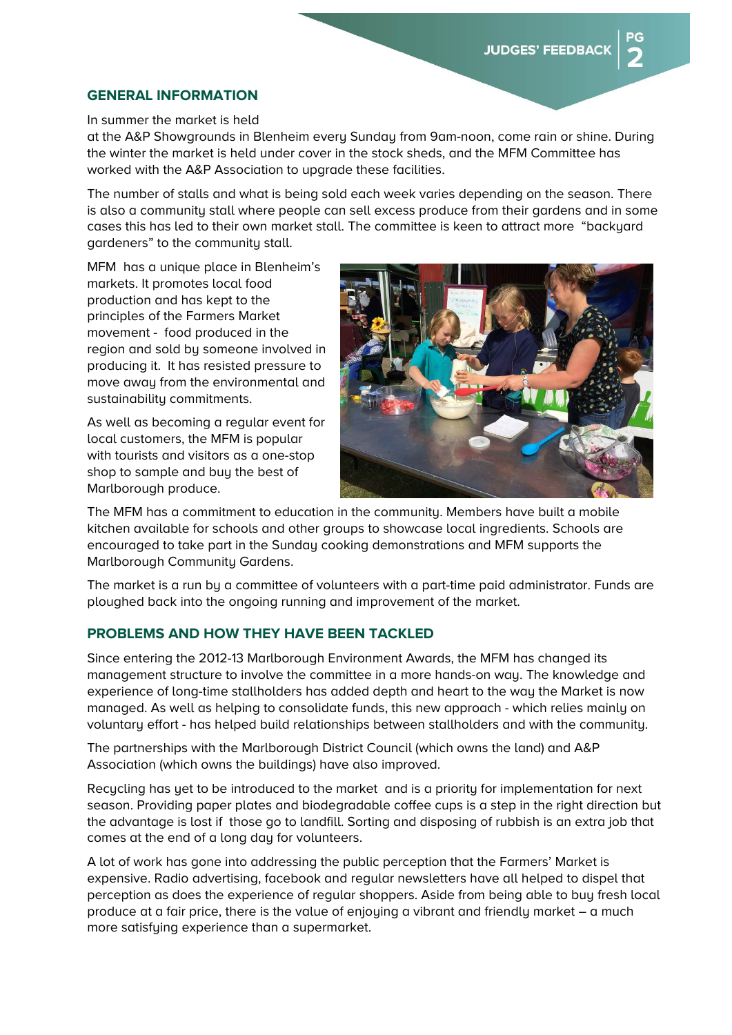#### **GENERAL INFORMATION**

In summer the market is held

at the A&P Showgrounds in Blenheim every Sunday from 9am-noon, come rain or shine. During the winter the market is held under cover in the stock sheds, and the MFM Committee has worked with the A&P Association to upgrade these facilities.

The number of stalls and what is being sold each week varies depending on the season. There is also a community stall where people can sell excess produce from their gardens and in some cases this has led to their own market stall. The committee is keen to attract more "backyard gardeners" to the community stall.

MFM has a unique place in Blenheim's markets. It promotes local food production and has kept to the principles of the Farmers Market movement - food produced in the region and sold by someone involved in producing it. It has resisted pressure to move away from the environmental and sustainability commitments.

As well as becoming a regular event for local customers, the MFM is popular with tourists and visitors as a one-stop shop to sample and buy the best of Marlborough produce.



The MFM has a commitment to education in the community. Members have built a mobile kitchen available for schools and other groups to showcase local ingredients. Schools are encouraged to take part in the Sunday cooking demonstrations and MFM supports the Marlborough Community Gardens.

The market is a run by a committee of volunteers with a part-time paid administrator. Funds are ploughed back into the ongoing running and improvement of the market.

### **PROBLEMS AND HOW THEY HAVE BEEN TACKLED**

Since entering the 2012-13 Marlborough Environment Awards, the MFM has changed its management structure to involve the committee in a more hands-on way. The knowledge and experience of long-time stallholders has added depth and heart to the way the Market is now managed. As well as helping to consolidate funds, this new approach - which relies mainly on voluntary effort - has helped build relationships between stallholders and with the community.

The partnerships with the Marlborough District Council (which owns the land) and A&P Association (which owns the buildings) have also improved.

Recucling has yet to be introduced to the market and is a priority for implementation for next season. Providing paper plates and biodegradable coffee cups is a step in the right direction but the advantage is lost if those go to landfill. Sorting and disposing of rubbish is an extra job that comes at the end of a long day for volunteers.

A lot of work has gone into addressing the public perception that the Farmers' Market is expensive. Radio advertising, facebook and regular newsletters have all helped to dispel that perception as does the experience of regular shoppers. Aside from being able to buy fresh local produce at a fair price, there is the value of enjoying a vibrant and friendly market – a much more satisfying experience than a supermarket.